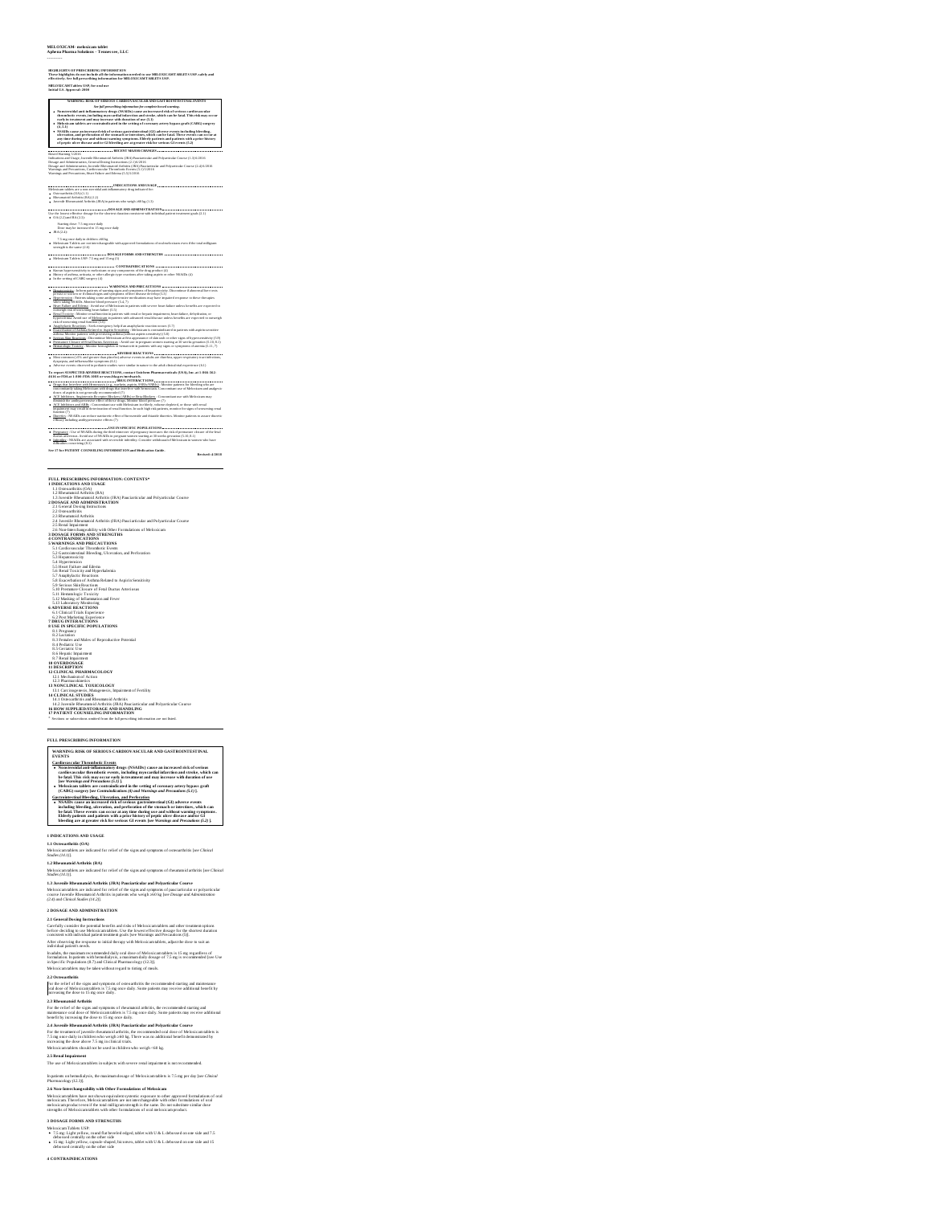## **MELOXICAM- meloxicam tablet Aphena Pharma Solutions - Tenness ee, LLC**

# ---------- **HIGHLIGHTS OF PRESCRIBING INFORMATION These highlights do not include all the information needed to use MELOXICAMTABLETS USP. safely and effectively. See full prescribing information for MELOXICAMTABLETS USP. MELOXICAMTablets USP, for oral use Initial U.S. Approval: 2000**

We also the state of the state of the state of the state of the state of the state of the state of the state of the state of the state of the state of the state of the state of the state of the state of the state of the s

**INDICATIONS AND USAGE Meloxical Meloxical AND AND AND USAGE Medications are a non-steroidal anti-inflammatory drug<br>Meloxicam tablets are a non-steroidal anti-inflammatory drug indicated for:** 

Osteoarthritis (OA) (1.1)<br>Rheumatoid Arthritis (RA) (1.2)<br>Juvenile Rheumatoid Arthritis (JRA) in patients who weigh ≥60 kg (1.3)

**DOSAGE AND ADMINISTRATION** Use the lowest effective dosage for the shortest duration consistent with individual patient treatment goals (2.1)

OA (2.2) and RA (2.3): Starting dose: 7.5 mg once daily Dose may be increased to 15 mg once daily

JRA (2.4):<br>7.5 mg once daily in children ≥60 kg<br>Meloxicam Tablets are not interchangeable with approved formulations of oral meloxicam even if the total milligram

strength is the same (2.6) **DOSAGE FORMS AND STRENGTHS** Meloxicam Tablets USP: 7.5 mg and 15 mg (3)

.<br>Kaawn hyperwensikivhy as melaxicam or any companents of the drug product (4)<br>Hetsey of anthras, urificating, or other allergic-type reactions after taking aspirin or other NSAIDs (4)<br>In the settion of CABIG surgery (4)

litanum antara est el controller de la partie de la controllera de la controllera de la controllera de la cont<br>partie de la controllera de la controllera de la controllera de la controllera de la controllera de la control<br>

λητικού πολικό στην Ευρωπηγική τρόπου της Αυτοκρατικής Παρασκευαι (2.5)<br>
- <u>Αποτείου Παρασκευαι (2.6)</u><br>
- <u>Αποτείου Παρασκευαι (2.6)</u><br>
- <u>Αποτείου Παρασκευαι (2.6)</u><br>
- <u>Αποτείου Παρασκευαι (2.6)</u><br>
- <u>Αποτείου Παρασκευαι</u>

diminish the antihypertensive effect of these drops. Monker blood pressure (7)<br>ACE, Inhibitors, and ARIB, : Concentrant use with Meloxicam in elikerly, volume-depleted, or those with resul<br>impairment may result in deterior

function (7)<br><u>Diuretics</u> : NSAIDs can reduce natriuretic effect of furosemide and thiazide diuretics. Monitor patients to assure diuretic<br>efficacy including antihypertensive effects (7)

**EXECUTION** CONSULTS And the SUPER DESCRIPTION OF THE MAIN PROPERTY OF THE SUPERFORM OF THE SUPERFORM OF THE SUPERFORM OF THE SUPERFORM OF THE SUPERFORM OF THE SUPERFORM OF THE SUPERFORM OF THE SUPERFORM OF THE SUPERFORM

**FULL PRESCRIBING INFORMATION: CONTENTS\* 1 INDICATIONS AND USAGE** 1.1 Osteoarthritis (OA) 1.2 Rheumatoid Arthritis (RA)

1.3 Juvenile Rheumatoid Arthritis (JRA) Pauciarticular and Polyarticular Course **2 DOSAGE AND ADMINISTRATION** 2.1 General Dosing Instructions 2.2 Osteoarthritis

2.3 Bluetonical América († 1836)<br>22. Januar – Antonio Galicia († 1836)<br>23 Januar – Antonio Galicia († 1836)<br>23 Januar – Antonio Galicia († 1836)<br>23 Januar – Antonio Galicia († 1836)<br>20 Januar – Antonio Galicia († 1836)<br>20

USE AN SPECIFIC POPULATIONS<br>
12 August 2014<br>
22 August 2014<br>
22 August 2014<br>
22 August 2014<br>
22 August 2014<br>
22 August 2014<br>
22 August 2014<br>
22 August 2014<br>
22 August 2014<br>
22 August 2014<br>
22 August 2014<br>
22 August 2014<br>

**FULL PRESCRIBING INFORMATION WARNING: RISK OF SERIOUS CARDIOVASCULAR AND GASTROINTESTINAL EVENTS**

Cardinexactior Theomholic Events.<br>
Tardinexa and increased risk of serious of the state of the state of the state of the state of the state of<br>
Cardinexaction after the state of the state of the state of the state<br>
of the

Gaarcoinistafina Bheedma, Ulteration, and Parlotarian and Ulteration of the SAMDs cause an increased risk of serious gastrointestinal (GI) adverse events<br>including blocking alteration, and performation of the stomach or in

**1 INDICATIONS AND USAGE**

1.1 Oversarbrinin (OA)<br>Melocicamidelni (OA)<br>Melocicamidelni sur inficand for relief of the signs and sympanus of osteosrthrini (see Clinical<br>Melocicamidelni Archividis (DA)<br>Mallenguments Archividis (DA)<br>Mallenguments Risem

Meloxicam tabless are indicated for relief of the signs and symptoms of pauciarticular or polyarticular<br>course Juvenile Rheumatoid Arthritis in patients who weigh 260 kg [see Dosage and Administration<br>(2.4) and Clinical St

2 DOSAGE AND ADMINISTRATION<br>The Company of the Schwartz Company of the Company of the Company of the Company of the Company of the Company<br>Company of the Company of the Company of the Company of the Company of the Company

2. Observationts in a space and symptom of consecutions the recommended starting and matemates (and the sign and symptom of consecutions) are consecuted by the same of the sign and the same of the same of the same of the

The use of Meloxicam tablets in subjects with severe renal impairment is not recommended.

In patients on hemodialysis, the maximum dosage of Meloxicam tablets is 7.5 mg per day [*see Clinical Pharmacology (12.3)*].

2.6 Non-Interchangeability with Other Formulations of Melexicam<br>Meloxicam tables have not shown equivalent systemic oxyosure to other approved formulations of oral<br>meloxicam Therefore, Meloxicam tables are not interchangea

3 DOSAGE FORMS AND STRENGTHS<br>Abdustican Tables USP:<br> $\bullet$  7.5 mg Light vyllow, round II at brevelod edged, tablet with U.8: L debosed on one side and 7.5<br> $\bullet$  the sign Light vyllow, round II at brevelod is<br>top and the side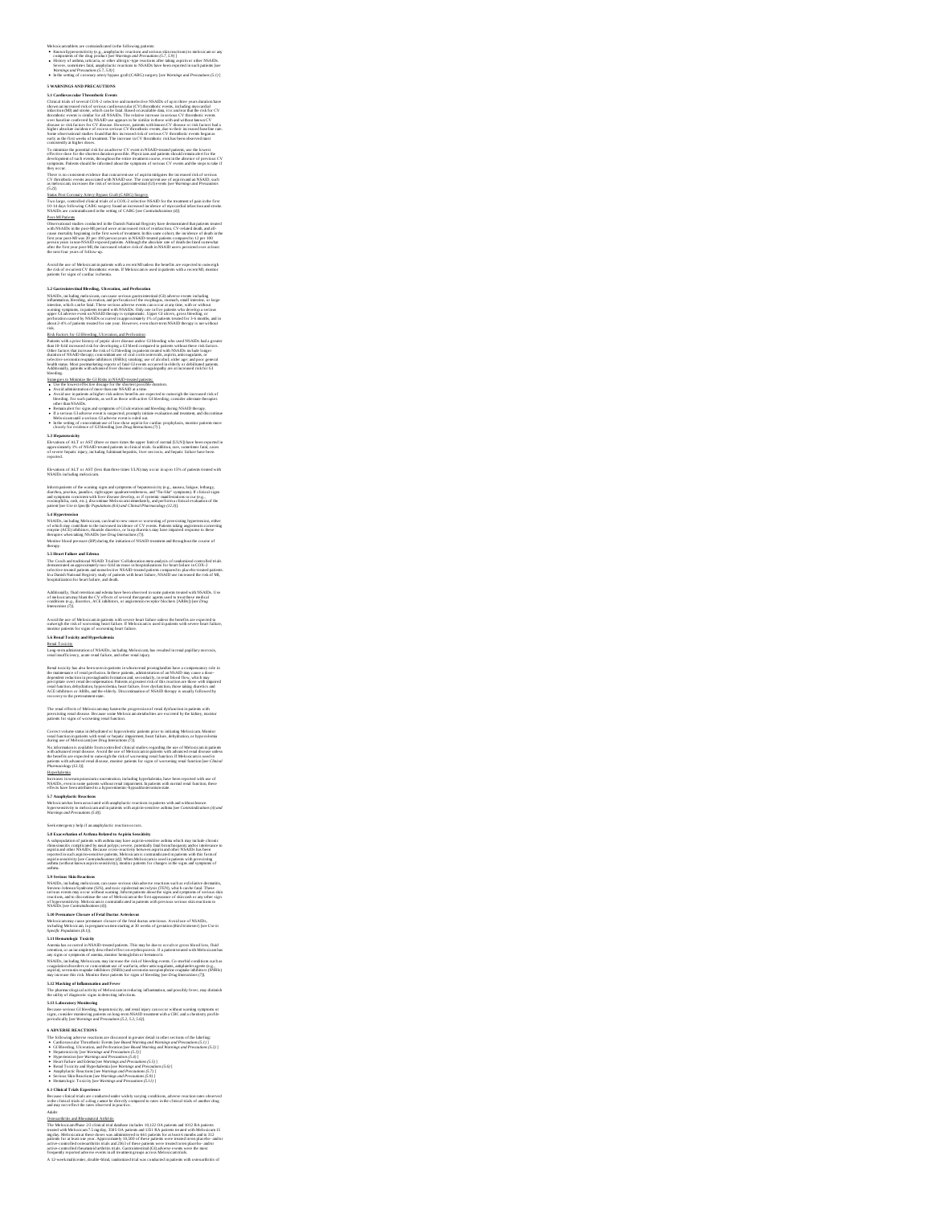# Melozicamalotes are contrainticand in the following patents:<br>  $\bullet$  Known Inpurses initially given and published is reached and serious skin reactions) to meloxicam or any<br>
components of the drog product fear Wormings and

S twich<br>NING AND PRECAUTIONS (Notes) and smaller the NING SCALE of up in the<br>system and statistical control of the NING SCALE of the NING SCALE of the<br>statistical control of the NING SCALE of the NING SCALE of the NING SC

To similate the postestic risk for an above CV vers in NSAD-R-2000 glassings, and the horsest<br>development of unclear the conduction of the state of the state of the<br>development of unclear the conduction of the state of th

## Status Post Coronary Artery Bypass Graft (CABG) Surgery

Two large, controlled clinical trials of a COX-2 selective NSAID for the treatment of pain in the first<br>10-14 days following CABG surgery found an increased incidence of myocardial infarction and stroke.<br>NSAIDs are contrai

That All Distinction<br>CONSECUTION INTO A CONSECUTE IN A DISTINCTION REGISTRY have demonstrated that patients treated<br>with NAMES in the procedure of the state and transfer this of the interaction (CV-schemeter)<br>for typic gro

## Avoid the use of Meloxicam in patients with a recent MI unless the benefits are expected to outweigh<br>the risk of recurrent CV thrombotic events. If Meloxicam is used in patients with a recent MI, monitor<br>patients for signs

Sa Clauscheins that all the office (Neverthein, and Perferstone<br>
2010, Decision in the control of the original control of the control of the control of the control of<br>
2010, the control of the control of the control of th

Bisk Bezaran Carl Gill Richting, Liberations, and Particulation Gill State Gill Bezar (1945). In the present of the state of the state of the state of the state of the state of the state of the state of the state of the st

Sizangian, an Malanta da Cli kinalia NASI<br>Antara possible charativa control descriptions of the state of the<br>state of the state of the state of the state of the state of the state<br>of the state of the state of the state of

5.3 Hepatosoxichy<br>Elevations of ALT or AST (three or more times the upper limit of normal [ULN]) have been reported in<br>approximately 1% of NSAID-treated patients in clinical trials. In addition, rare, sometimes fatal, case

## Elevations of ALT or AST (less than three times ULN) may occur in up to 15% of patients treated with<br>NSAIDs including meloxicam.

his map are not the second signs and symmetric displacements of the second fields to the second of the second state of the second state of the second state of the second state of the second state of the second state of th

Additionally, flaid retention and edema have bren observed in some patients treated with NSAIDs. Use<br>of meloxicam may blunt the CV effects of several therapeutic agents used to treat these medical<br>conditions (e.g., diureti

Avoid the use of Meloxicam in patients with severe beart failure unless the benefits are expected to<br>outweigh the risk of worsening heart failure. If Meloxicam is used in patients with severe heart failure,<br>monitor patient

**5.6 Renal Toxicity and Hyperkalemia**

<u>Renal Toxicity</u><br>Long-term administration of NSAIDs, including Meloxicam, has resulted in renal papillary necrosis,<br>renal insufficiency, acute renal failure, and other renal injury.

Reaul society, has also been seen in patients in whem results prospallantifies howe a compostatory role in<br>the multimaxies of result generation. In these patients, attention of an NSAID may cause a doss-<br>dependent reductio

The renal effects of Meloxicam may hasten the progression of renal dysfunction in patients with<br>preexisting renal disease. Because some Meloxicam metabolites are excreted by the kidney, monitor<br>natients for signs of worsen

Correct volume states. In debydrand on hypovolent cytelens prior to initiating Melodicam. Monitors and informational control of the state of the state of the state of the state of the state of the state of the state of the

painten with about of treat distance, matter painten for signs of worsening send fraction for Christi<br>Distances of the state of the state of the state of the state of the state of the best operator of the set of<br>Distances

S.8 Exacerbation of Asthma Related to Aspirin Sensitivity

S.B Exceptsbaton of Archman Related in Acpents Swatsking<br>A subpeptiation of patients with artima may have applies sensitive acidims which may include chronic<br>distanced in couple for the same party in each control of an int

5.3 Serieus Skin Reactions.<br>NSAIDs, including melocicam, can cause serious skin adverse reactions such as exfoluidve dermatitis,<br>NSAIDs, including melocicam, can usually added a serious are colysis. (TEN), which can be fat

S.10 Premature Classure of Fetal Ductus Arteriosus<br>Meloxicam may cause premature clossure of the fetal ductus arteriosus. Avoid use of NSAIDs,<br>including Meloxicam, in pregnant women starting at 30 weeks of gestation (third

is ADVERSE REACTIONS<br>
2011 - The Marine Control of the Control of the Control of the Control of the Control of the Control of the Control of the Control of the Control of the Control of the Control of the Control of the C

The Moleculear Plane 2.92 cliented kink danshose includes to RLP2 OA pointers, and 1002 RA pointers. The magnitude matter of the state of the state of the state of the state of the state of the state of the state of the s

5.11 Hensatskips Twickin Na<br>American in operator (1983). The state of the state of the state of the state of the state of the state of the<br>American increase of the state of the state of the state of the state<br>of the state

The pharmacological activity of Meloxicam in reducing inflammation, and possibly fever, may diminish the utility of diagnostic signs in detecting infections.

**5.13 Laboratory Monitoring**

Because serious GI bloeding, hepatotoxicity, and renal injury can occur without warning symptoms or<br>signs, consider monitoring patients on long-arem NSAID treatment with a CBC and a chemistry profile<br>periodically [see Warn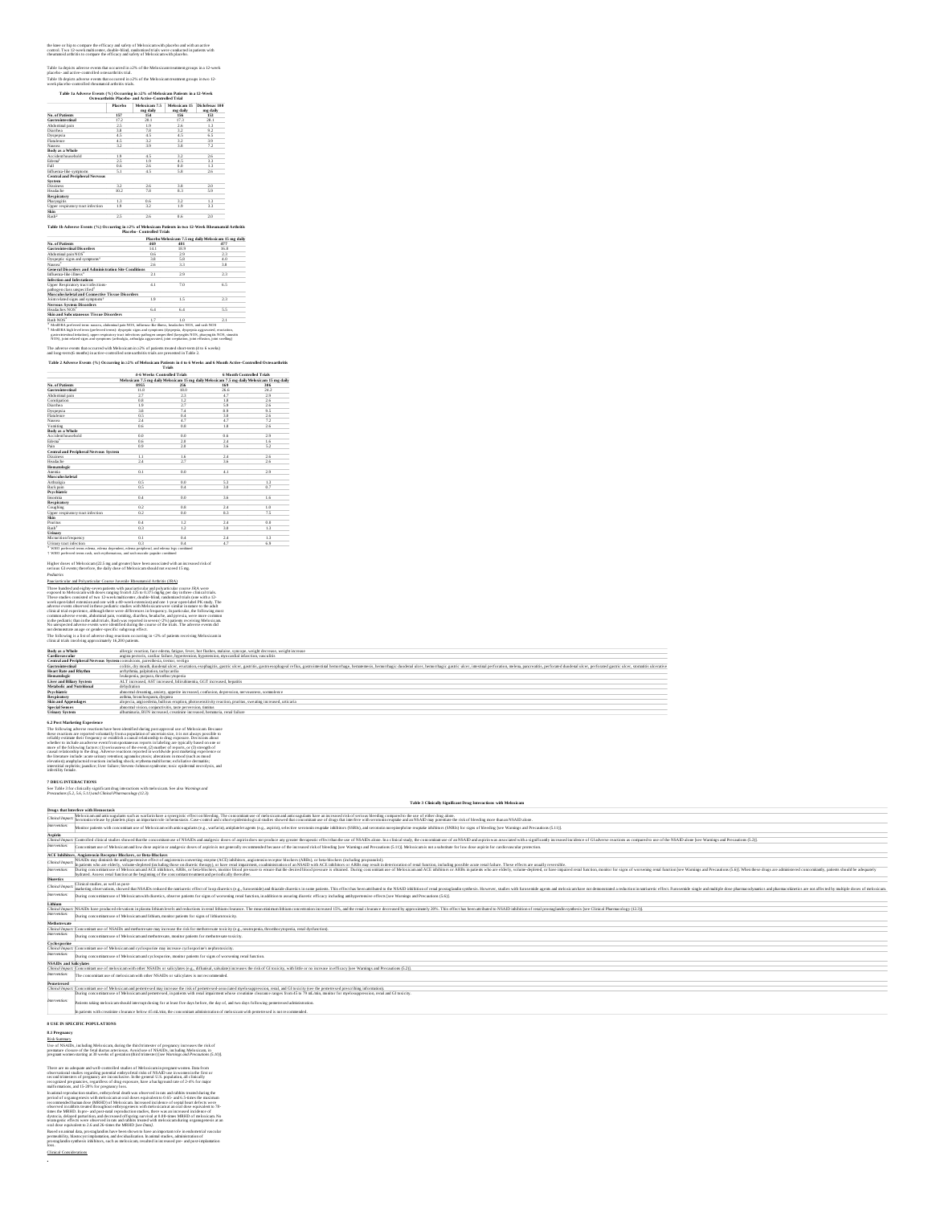## the lance or hip to compare the efficacy and safety of Meloxicam with placebo and with an active<br>comrol. Two 12-week multicenter, double-blind, randomized trials were conducted in patients with<br>rheumatoid arthritis to comp

Table 1a depicts adverse events that occurred in 22% of the Meloxican treatment groups in a 12-week<br>placebo- and active-controlled ostroarchrists trial.<br>Table 1b depicts adverse events that occurred in 22% of the Meloxican

|                                                                                                                                                                                                                        | Placebo | Melevicam 7.5              | Melovicam 15                                         | Diclofenac 100 |
|------------------------------------------------------------------------------------------------------------------------------------------------------------------------------------------------------------------------|---------|----------------------------|------------------------------------------------------|----------------|
|                                                                                                                                                                                                                        |         | mg daily                   | me daily                                             | me daily       |
| No. of Patients                                                                                                                                                                                                        | 157     | 154                        | 156                                                  | 153            |
| <b>Gastro intestinal</b>                                                                                                                                                                                               | 17.2    | 201                        | 173                                                  | 281            |
| Abdominal pain                                                                                                                                                                                                         | 25      | 19                         | 26                                                   | 1.3            |
| Diarrhea                                                                                                                                                                                                               | 3.8     | 7.8                        | 32                                                   | 9.2            |
| Dyspepsia                                                                                                                                                                                                              | 4.5     | 4.5                        | 45                                                   | 6.5            |
| Flaulence                                                                                                                                                                                                              | 4.5     | 32                         | 32                                                   | 3.9            |
| Nausea                                                                                                                                                                                                                 | 32      | 39                         | 38                                                   | 7.2            |
| Body as a Whole                                                                                                                                                                                                        |         |                            |                                                      |                |
| Accident bousebold                                                                                                                                                                                                     | 19      | 45                         | 32                                                   | 26             |
| Edema <sup>1</sup>                                                                                                                                                                                                     | 25      | 19                         | 45                                                   | २२             |
| Fall                                                                                                                                                                                                                   | 0.6     | 2.6                        | 0.0                                                  | 1.3            |
| Influenza-like symptoms                                                                                                                                                                                                | 51      | 4.5                        | 58                                                   | 2.6            |
| <b>Central and Perioberal Nervous</b>                                                                                                                                                                                  |         |                            |                                                      |                |
| <b>System</b>                                                                                                                                                                                                          |         |                            |                                                      |                |
| Dizzinecc                                                                                                                                                                                                              | 32      | 26                         | 38                                                   | 2.0            |
| Headache                                                                                                                                                                                                               | 10.2    | 78                         | 8.3                                                  | 5.9            |
| Respiratory                                                                                                                                                                                                            |         |                            |                                                      |                |
| Pharynaids                                                                                                                                                                                                             | 13      | 0.6                        | 32                                                   | 1.3            |
| Upper respiratory tract infection                                                                                                                                                                                      | 19      | 32                         | 1.9                                                  | २२             |
|                                                                                                                                                                                                                        |         |                            |                                                      |                |
|                                                                                                                                                                                                                        |         |                            |                                                      |                |
|                                                                                                                                                                                                                        | 2.5     | 26                         | 0.6                                                  | 2.0            |
| Skin<br>Rankh <sup>2</sup><br>Table 1b Adverse Events (%) Occurring in ≥2% of Meloxicam Patients in two 12-Week Rheumatoid Arthritis                                                                                   |         | Placebo, Controlled Trials | Placebo Meloxicam 7.5 mg daily Meloxicam 15 mg daily |                |
|                                                                                                                                                                                                                        |         | 469                        | 481                                                  | 477            |
| No. of Patients<br><b>Gastro intestinal Disorders</b>                                                                                                                                                                  |         | 141                        | 18.9                                                 | 16.8           |
|                                                                                                                                                                                                                        |         | 0.6                        | 29                                                   | 23             |
| Abdominal pain NOS"<br>Dyspertic signs and symptoms <sup>+</sup>                                                                                                                                                       |         | 38                         | 58                                                   | a n            |
|                                                                                                                                                                                                                        |         | 26                         | 33                                                   | 38             |
|                                                                                                                                                                                                                        |         |                            |                                                      |                |
|                                                                                                                                                                                                                        |         | 21                         | 29                                                   | つミ             |
|                                                                                                                                                                                                                        |         |                            |                                                      |                |
|                                                                                                                                                                                                                        |         | 41                         | 70                                                   | 65             |
| Nausea <sup>*</sup><br>General Disorders and Administration Site Conditions<br>Influenza-like illness"<br>Infection and Infestations<br>Upper Respiratory tract infections-<br>pathogen class unspecified <sup>+</sup> |         |                            |                                                      |                |
| Musculoskeletal and Connective Tissue Disorders<br>Joint related signs and symptoms <sup>+</sup>                                                                                                                       |         | 19                         | 1.5                                                  | 2.3            |

## \* MedDRA proferord torm: nausoa, abdorninal pain NOS, influenza-like filmen, hoadachen NOS, and ranh NOS<br>\* MedDRA high level term (proferred torms): dyspeptic signs and symptoms (dyspeptik, dyspeptia aggravated, eructation Headaches NOS 6.4 6.4 5.5 **Skin and Subcutaneous Tissue Disorders** \* \* 8.<br>
Examples Tissue Disorders<br>  $\begin{array}{|c|c|c|c|c|}\n\hline\n\text{6.4} & \text{6.4} & \text{5.5} & \text{7.6} \\
\hline\n\text{6.5} & \text{6.6} & \text{6.7} & \text{7.8} & \text{8.8} \\
\hline\n\end{array}$

The adverse events that occurred with Meloxicam in ≥2% of patients treated short-term (4 to 6 weeks) and long-term (6 months) in active-controlled osteoarthritis trials are presented in Table 2.

|                                              | <b>4-6 Weeks Controlled Trials</b>                                                        |               | <b>6 Month Controlled Trials</b> |      |  |
|----------------------------------------------|-------------------------------------------------------------------------------------------|---------------|----------------------------------|------|--|
|                                              | Meloxicam 7.5 mg daily Meloxicam 15 mg daily Meloxicam 7.5 mg daily Meloxicam 15 mg daily |               |                                  |      |  |
| No. of Patients                              | 8955                                                                                      | 256           | 169                              | 306  |  |
| Gastro intes tinal                           | 11.8                                                                                      | 18.0          | 26.6                             | 24.2 |  |
| Abdominal pain                               | 2.7                                                                                       | 2.3           | 47                               | 2.9  |  |
| Constitution                                 | 0.8                                                                                       | 1.2           | 1.8                              | 2.6  |  |
| Diarrhea                                     | 19                                                                                        | 2.7           | 59                               | 26   |  |
| Dyspepsia                                    | 3.8                                                                                       | 7.4           | 8.9                              | 9.5  |  |
| Flatulence                                   | 0.5                                                                                       | 0.4           | 30                               | 26   |  |
| Nausea                                       | 2.4                                                                                       | 47            | 47                               | 7.2  |  |
| Vomiting                                     | 0.6                                                                                       | 0.8           | 1.8                              | 2.6  |  |
| Body as a Whole                              |                                                                                           |               |                                  |      |  |
| Accident household                           | n n                                                                                       | 0.0           | 0.6                              | 2.9  |  |
| Edema"                                       | 0.6                                                                                       | $20^{1}$      | $^{24}$                          | 1.6  |  |
| Pain                                         | 0.9                                                                                       | $20^{1}$      | 36                               | 52   |  |
| <b>Central and Peripheral Nervous System</b> |                                                                                           |               |                                  |      |  |
| Dizziness                                    | 1.1                                                                                       | 1.6           | 2.4                              | 2.6  |  |
| Headache                                     | 2.4                                                                                       | 2.7           | 36                               | 2.6  |  |
| Hematologic                                  |                                                                                           |               |                                  |      |  |
| Anemia                                       | 0.1                                                                                       | 0.0           | 4.1                              | 2.9  |  |
| <b>Musculoskeletal</b>                       |                                                                                           |               |                                  |      |  |
| Arthraleia                                   | 0.5                                                                                       | 0.0           | 53                               | 13   |  |
| <b>Back pain</b>                             | 0.5                                                                                       | 0.4           | 3.0                              | 0.7  |  |
| Psychiatric                                  |                                                                                           |               |                                  |      |  |
| Incommis                                     | 0.4                                                                                       | 0.0           | 36                               | 1.6  |  |
| Respiratory                                  |                                                                                           |               |                                  |      |  |
| Coughing                                     | 0.2                                                                                       | 0.8           | $^{24}$                          | 1.0  |  |
| Upper respiratory tract infection            | 0.2                                                                                       | 0.0           | 83                               | 75   |  |
| Skin                                         |                                                                                           |               |                                  |      |  |
| Pruntus                                      | 0.4                                                                                       | 1.2           | $^{24}$                          | 0.0  |  |
| Rash <sup>+</sup>                            | 0.3                                                                                       | 1.2           | $\overline{\mathbf{3}}$          | 13   |  |
| Urinary                                      |                                                                                           |               |                                  |      |  |
| Micturition frequency                        | 0.1                                                                                       | 0.4           | 2.4                              | 1.3  |  |
|                                              | $\sim$ $\sim$                                                                             | $\sim$ $\sim$ | . .                              | $-$  |  |

## \* Urinary tract infection 0.3 0.4 4.7 6.9 WHO preferred terms edema, edema dependent, edema peripheral, and edema legs combined WHO preferred terms rash, rash erythematous, and rash maculo-papular combined

.<br>Higher doses of Meloxicam (22.5 mg and greater) have been associated with an incre<br>vents; therefore, the daily dose of Meloxicam should not exceed 15 mg.

## *Pediatrics*

†

Distribution and Echanismical Content Laware (2001)<br>The interaction of the state of the state of the state of the state of the state of the<br>state of the state of the state of the state of the state of the<br>state of the sta

## **Body as a Whole** allergic reaction, face edema, fatigue, fever, hot flushes, malaise, syncope, weight decrease, weight increase

| Cardio vaccular                 | anzina pectoris, cardiac failure, hypertension, hypotension, myocardial infarction, vasculitis                                                                                                                                 |
|---------------------------------|--------------------------------------------------------------------------------------------------------------------------------------------------------------------------------------------------------------------------------|
|                                 | Central and Perioheral Nervous System convulsions, paresthesia, tremor, vertico                                                                                                                                                |
| Gastro intes tinal              | colids, dry mouth, duodenal ulcer, enscusion, esophazitis, gastric ulcer, gastricis, gastrocsophageal reflux, gastroimestinal hemorrhage, hemorrhagic duodenal ulcer, hemorrhagic ulcer, inestinal perforation, melena, parcre |
| <b>Heart Rate and Rhythm</b>    | arrhythmia, palpitation, tachycardia                                                                                                                                                                                           |
| <b>Hematologic</b>              | leukoperia, purpura, thrombocytoperia                                                                                                                                                                                          |
| <b>Liver and Biliary System</b> | ALT increased. AST increased, bilirubinemia, GGT increased, henatitis                                                                                                                                                          |
| Metabolic and Nutritional       | dehydration                                                                                                                                                                                                                    |
| Psychiatric                     | abnormal dreaming, anxiety, appetite increased, confusion, depression, nervousness, sommlence                                                                                                                                  |
| Respiratory                     | asthma, bronchospasm, dyspnea                                                                                                                                                                                                  |
| <b>Skin and Appendages</b>      | alopecia, angiordema, bullous eruption, photosensitivity reaction, pruritus, sweating increased, urticaria                                                                                                                     |
| Special Senses                  | abnormal vision, conjunctivitis, taste perversion, timitus                                                                                                                                                                     |
| <b>Tidayan Creters</b>          | officialments. BUM toconstant constitution increased homemorie cand follows                                                                                                                                                    |

**Ethnic Normal Constitution (Exception Constitution (EXC)**<br> **EXCEPTION CONSTITUTION (EXCEPTION CONSTITUTION)**<br>
The Interaction of the state of the state of the state of the state of the state of the state of the state<br>
Th

7 DRUG INTERACTIONS<br>See Table 3 for clinically significant drug interactions with meloxican. See also Warnings and<br>Precontions (5.2, 5.6, 5.11) and Clinical Pharmacology (12.3).

|                               | rrecussions (5.2, 5.6, 5.11) and Carricul Prairmacology (12.5).                                                                                                                                                                                                                                                                                                                                                                                                 |
|-------------------------------|-----------------------------------------------------------------------------------------------------------------------------------------------------------------------------------------------------------------------------------------------------------------------------------------------------------------------------------------------------------------------------------------------------------------------------------------------------------------|
|                               | Table 3 Clinically Significant Drug Interactions with Meloxicam                                                                                                                                                                                                                                                                                                                                                                                                 |
|                               | Drugs that Interfere with Hemostasis                                                                                                                                                                                                                                                                                                                                                                                                                            |
| Thical Impac                  | feloxicam and anticoagulants such as warfarin have a symergistic effect on bleeding. The concomitant use of meloxicam and anticoagulants have an increased risk of serious bleeding compared to the use of either drug along.<br>erotonin release by olandets plays an important role in hemostasis. Case-control and cohort enidemiological studies showed that concoming use of drugs that interfere with serotonin reunsde and an NSAID may note risk of ble |
| stervention:                  | Monitor patients with concoming use of Meloxican with anicoagulans (e.g., warfarin), aniplatelet agents (e.g., asnirin), selective serotonin reuntake inhibitors (SSRIs), and serotonin novenimentrine reunake inhibitors (SNR                                                                                                                                                                                                                                  |
| Aspirin                       |                                                                                                                                                                                                                                                                                                                                                                                                                                                                 |
|                               | linical Isnock Controlled clinical studies showed that the concoming use of NSAIDs and analgesic doses of aspirindoes not teoduce any greater there are no terrate effect than the use of NSAIDs alone. In a clinical study, t                                                                                                                                                                                                                                  |
| stervention:                  | oncomitant use of Meloxicam and low dose aspirin or analgesic doses of aspirin is not generally recommended because of the increased risk of bleeding Isee Warnings and Precautions (5.11)]. Meloxicam is not a substitute for                                                                                                                                                                                                                                  |
|                               | <b>ACE Inhibitors, Angiotensin Receptor Blockers, or Beta-Blockers</b>                                                                                                                                                                                                                                                                                                                                                                                          |
| <b>Zinical Innoc</b>          | VSAIDs may diminish the antihypertensive effect of angioursin converting enzyme (ACE) inhibitors, angiotensin receptor blockers (ARBs), or beta-blockers (including propranolol).<br>In patients who are elderly, volume-depleted (including those on diuretic therapy), or have renal imairmen, coadministration of an NSAID with ACE inhibitors or ARBs may result in deterioration of renal function, including                                              |
| cedeversity                   | During concomitant use of Meloxicam and ACE inhibitors. ARBs. or beta-blockers, monitor blood pressure to ensure that the desired Nood onessure to ensure that the desired Nood onessure is obtained. Ouring concomitant use o<br>hydraxed. Assess renal function at the beginning of the concomitant treatment and periodically thereafter.                                                                                                                    |
| <b>Diuretics</b>              |                                                                                                                                                                                                                                                                                                                                                                                                                                                                 |
| Thical Impact                 | linical studies, as well as post-<br>marketing observations, showed that NSAIDs reduced the mariaretic effect of loop disretics (#.e., furosemide) and thiazide disretics in some patients. This effect has been attributed to the NSAID inhibition of renal reosta                                                                                                                                                                                             |
| Istervention:                 | During concomitant use of Meloxicam with diuretics, observe patients for signs of worsening renal function, in addition to assuring diuretic efficacy including antilypertensive effects Isee Warnings and Precautions (5.6)].                                                                                                                                                                                                                                  |
| Lithium                       |                                                                                                                                                                                                                                                                                                                                                                                                                                                                 |
| linical Impact                | NSAIDs have renduced elevations in plasma lithium levels and reductions in renal lithium clearance. The mean minimum lithium concentration increased 15%, and the renal clearance decreased by approximately 20%. This effect                                                                                                                                                                                                                                   |
| istervention:                 | During concomitant use of Meloxicam and lithium, monitor patients for signs of lithium toxicity.                                                                                                                                                                                                                                                                                                                                                                |
| Methotrexate                  |                                                                                                                                                                                                                                                                                                                                                                                                                                                                 |
|                               | linical Impace: Concomitant use of NSAIDs and methotrexate may increase the risk for methotrexate toxicity (e.g., neutroperia, thrombocytoperia, renal dysfunction)                                                                                                                                                                                                                                                                                             |
| stervention:                  | During concomitant use of Meloxicam and methotrexate, monitor patients for methotrexate toxicity.                                                                                                                                                                                                                                                                                                                                                               |
| <b>Cyclosporine</b>           |                                                                                                                                                                                                                                                                                                                                                                                                                                                                 |
|                               | Thical Impact: Concomitant use of Meloxicam and cyclosporine may increase cyclosporine's nephrotoxicity.                                                                                                                                                                                                                                                                                                                                                        |
| Istervention:                 | During concomitant use of Meloxicam and cyclosporine, monitor patients for signs of worsening renal function.                                                                                                                                                                                                                                                                                                                                                   |
| <b>NSAIDs and Salicylates</b> |                                                                                                                                                                                                                                                                                                                                                                                                                                                                 |
|                               | Clinical Impact: Concomitant use of meloxicam with other NSAIDs or salicylates (e.g., diflurisal, salsalate) increases the risk of GI toxicity, with little or no increase in efficacy Isee Warnings and Precausions (S.2)].                                                                                                                                                                                                                                    |
| stervention:                  | The concomitant use of meloxicam with other NSAIDs or salicylates is not recommended                                                                                                                                                                                                                                                                                                                                                                            |
| Pemetrexed                    |                                                                                                                                                                                                                                                                                                                                                                                                                                                                 |
|                               | linical Impace: Concomitant use of Meloxicam and permerexed may increase the risk of pemetrexed-associated myelosuppression; renal, and GI toxicity (see the pemetrexed prescribing information).                                                                                                                                                                                                                                                               |
|                               | During concomitant use of Meloxicam and pemetrexed, in patients with renal impairment whose creatinine clearance ranges from 45 to 79 mL/min, monitor for myelosuppression, renal and GI toxicity.                                                                                                                                                                                                                                                              |
| Istervention:                 | Patients taking meloxicam should interrent dosing for at least five days before, the day of, and two days following pemetrexed administration.                                                                                                                                                                                                                                                                                                                  |
|                               | In nations with creatinine clearance below 45 mL/min, the concomitant administration of meloxicam with nemetrexed is not recommended                                                                                                                                                                                                                                                                                                                            |
|                               | <b>RISE IN SPECIFIC POPULATIONS</b>                                                                                                                                                                                                                                                                                                                                                                                                                             |

## **8.1 Pregnancy** Risk Summary

Use of NSAIDs, including Meloxicam, during the third trimester of pregnancy increases the risk of<br>premature closure of the fetal ductus arteriosus. Avoid use of NSAIDs, including Meloxicam, in pregnant women starting at30 weeks of gestation (third trimester) [*see Warnings and Precautions (5.10)*].

There are an adoption and well-controlled solid as the<br>bottomain parameters and an adoption of the property of the state of<br>the spectra controlled in the spectra of the spectra controlled in the<br>spectra of the spectra of

loss.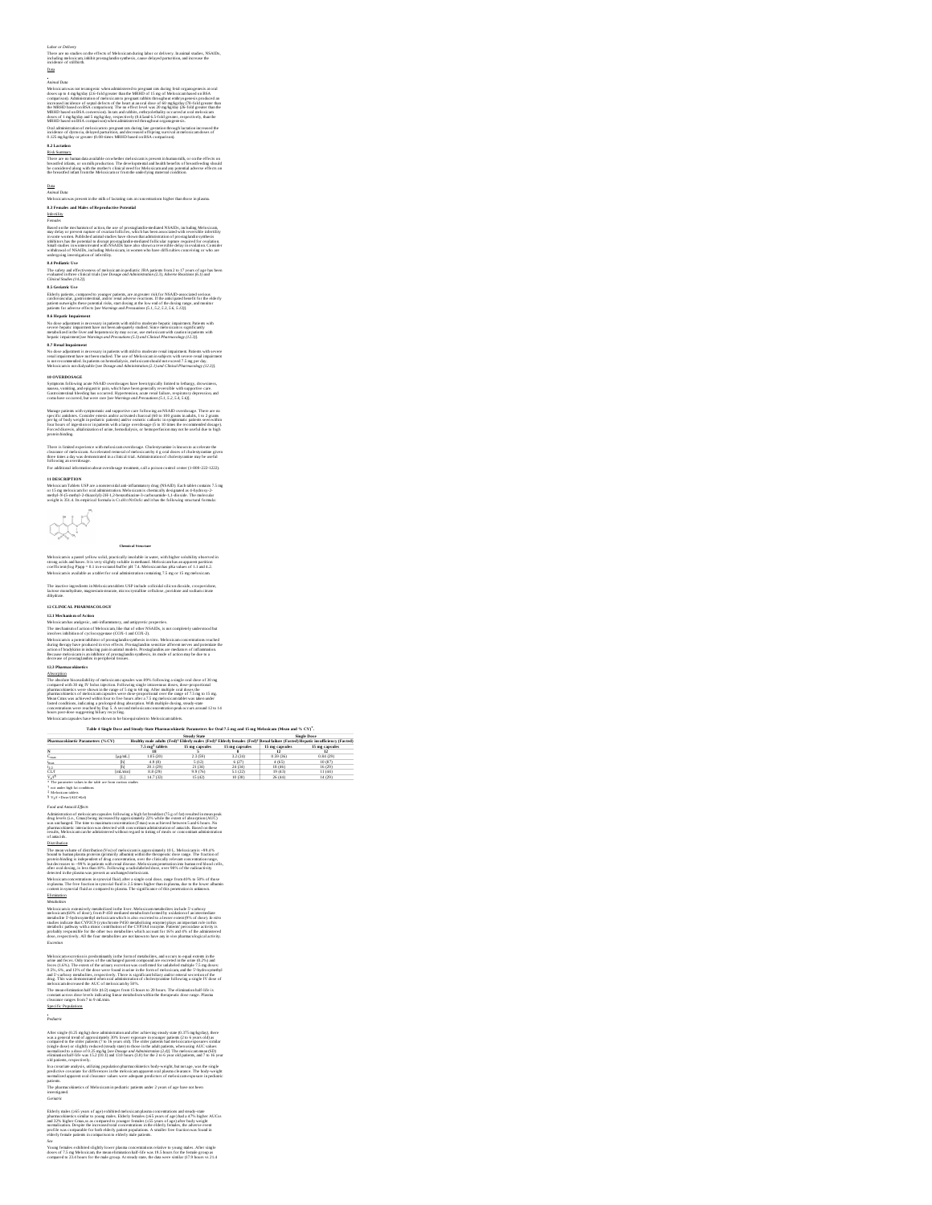Labor or Delivery<br>There are no studies on the effects of Meloxicam during labor or delivery. In animal studies, NSAIDs,<br>including meloxicam, initiat prostaglandin synthesis, cause delayed parturition, and increase the<br>inci

## Data

Assuming them were the state of the state and the properties in the first control and the state of the state of the state of the state of the state of the state of the state of the state of the state of the state of the s

8.2 Lectados<br>These are no human dan available en whether meloxican is present in human milk, or en the effects on<br>breastfed infans, or on milk production. The developmental and health brearlist of breastfeeding should<br>be c

<u>Dans</u><br>Animal Data<br>Meloxicam was present in the milk of lactating rats at concentrations higher than those in plasma.<br>8.3 Fema**les and Males of Reproductive Potential** 

identification<br>proposition of the constraints of a state of the constraints method of NADA including Adelandcen<br>may observe the constraints of the constraints in the constraints of the constraints of the constraints in<br>the

**8.4 Pediatric Us e**

The safety and effectiveness of meloxicam in pediatric JRA patients from 2 to 17 years of age has been<br>evaluated in three clinical trials [see Dossage and Administration (2.3), Adverse Reactions (6.1) and<br>Clinical Studies

**8.5 Geriatric Use**<br>Elderity paíseus, compared to younger patients, are at greater risk for NSAID-associated serious<br>cardiovascular, gastrointestinal, and/or renal adverse reactions. If the anticipated benefit for the elde

It is Hepoth Impulment in secteory in patterns with ruled to mechanize hepatic impairment Patterns with<br>No done adjustment is successary in patterns with ruled models and contact impairment Patterns with a<br>particular patt

Symptoms following acun NSAID overdosages have been typically limited to lethangy, drowsiness,<br>nuseea, vomiting, and epigastric pain, which have been generally reversible with supportive care.<br>Gasnoimsesinal bleeding has o

Manage paísears with symptomatic and supportivo care following an NSAID overdosage, "There are on<br>specific antidotes. Consider emests and/or activated charcoal (60 to 100 grams in adults, 1 to 2 grams<br>per kg of body weight

There is limited oxygerience with meloxican overdosage. Cholestynamine is lanour to accelerate the state of the<br>clearance of meloxicam. Accelerated removal of meloxicam by 4 g oral doses of cholespyramine given<br>three times

11 DESCRIPTION<br>Molocicam Tables USP are a nonstreoidal anti-inflammatory drug (NSAID). Each tablet contains 7.5 mg<br>nr 15 mg meloxicam for oral administration. Meloxicam is chemically designated as 4-bydroxy-2-<br>methyl-N-fe



**Chemical Structure**

Meloxicami is a passel yellow solid, practically insolubble in wazer, with higher solubility observed a<br>strong acids and bases. It is very slightly soluble in methanol. Meloxicami as an apparent partition<br>coefficient (log

The inactive ingredients in Meloxicam tablets USP include colloidal silicon dioxide, crospovidone,<br>lactose monohydrate, magnesium stearate, microcrystalline cellulose, povidone and sodium citrate<br>dihydrate.

The absolute Montchlidter of the shockens capacity was fifted taking stating to allow the Shockenside control of the stationary of the stationary of the stationary of the stationary of the stationary of the stationary of

Table 4 Single Dose and Steady-State Pharmacokinetic P.

 $\frac{N_{\text{harmonic}}(\text{Wc})}{N_{\text{harmonic}} + N_{\text{harmonic}} + N_{\text{harmonic}} + N_{\text{harmonic}} + N_{\text{harmonic}} + N_{\text{harmonic}} + N_{\text{harmonic}} + N_{\text{harmonic}} + N_{\text{harmonic}} + N_{\text{harmonic}} + N_{\text{harmonic}} + N_{\text{harmonic}} + N_{\text{harmonic}} + N_{\text{harmonic}} + N_{\text{harmonic}} + N_{\text{harmonic}} + N_{\text{harmonic}} + N_{\text{harmonic}} + N_{\text{harmonic}} + N_{\text{harmonic}} + N_{\text{harmonic}} + N_{\text{harmonic}} + N_{\text$ t [h] 4.9 (8) 5 (12) 6 (27) 4 (65) 10 (87) **† † † ‡** max

| les xx                                                     | m.      | 4.9(8)    | 5(12)   | 6 (27)  | 4(65)   | 10 (87) |
|------------------------------------------------------------|---------|-----------|---------|---------|---------|---------|
|                                                            | Π'n.    | 20.1 (29) | 21(34)  | 24 (34) | 18 (46) | 16 (29) |
| CLЛ                                                        | mL/min1 | 8.8 (29)  | 9.9(76) | 5.1(22) | 19(43)  | 11(44)  |
| V-f <sup>5</sup>                                           | IL.     | 14.7 (32) | 15 (42) | 10(30)  | 26(44)  | 14 (29) |
| The nazameter values in the table are from various studies |         |           |         |         |         |         |
| not under high fat conditions.                             |         |           |         |         |         |         |
| Meloxicam tablets                                          |         |           |         |         |         |         |
| Varf -Dose/(AUC+Kell)                                      |         |           |         |         |         |         |

**\***

Food of Associate (Eq. 2). The main control of the spectrum of the spectrum of the spectrum of the spectrum of the spectrum of the spectrum of the spectrum of the spectrum of the spectrum of the spectrum of the spectrum o

Melouxican excretion is prodominantly in the form of meabolites, and occurs to equal states that in<br>the same free control is presented in the control of the same of the same of the same of the same of the same<br>of the same

The mean elimination half-life (t1/2) ranges from 15 hours to 20 hours. The elimination half-life is<br>constant across dose levels indicating linear metabolism within the therapeutic dose range. Plasma<br>clearance ranges from

Specific Populations

*Pediatric*

After single (0.25 mg/kg) dose administration and after schieving study state (0.375 mg/kg/kg), there<br>was a general result of approximately 30% lower exposure in younger patients (2 to 6 years old) as<br>compared to the olde

In a covariate analysis, utilizing population pharmacolánetics body-weight, but not age, was the single<br>predictive covariate for differences in the meloxicam apparent oral plasma clearance. The body-weight<br>normalized appar

patients.<br>The pharmacokinetics of Meloxicam in pediatric patients under 2 years of age have not been<br>investigated.

*Geriatric*

Elderly males (2-55 years of ago) exhibited multoxican plasma concentrations and standy-same<br>pharmacokinetics similar to young males. Elderly females (2:55 years of age) had a 47% higher AUCss<br>and 32% higher Cluxe,s as com

Sov<br>Young females exhibited slightly lower plasma concentrations relative to young males. After single<br>dosse of 7.5 mg Meloxicam, the mean elimination half-life was 19.5 hours for the female group as<br>compared to 23.4 hours

# IZ CLIMCAL PRIAMENCOLOGY<br>
IZ CLIMCAL PRIAMENTAL SURFACE IN CONSULTANT IN EXPLORATION INTO A TRANSPORT IN A COMPARING THE STATE OF THE STATE OF THE STATE OF THE STATE OF THE STATE OF THE STATE OF THE STATE OF THE STATE OF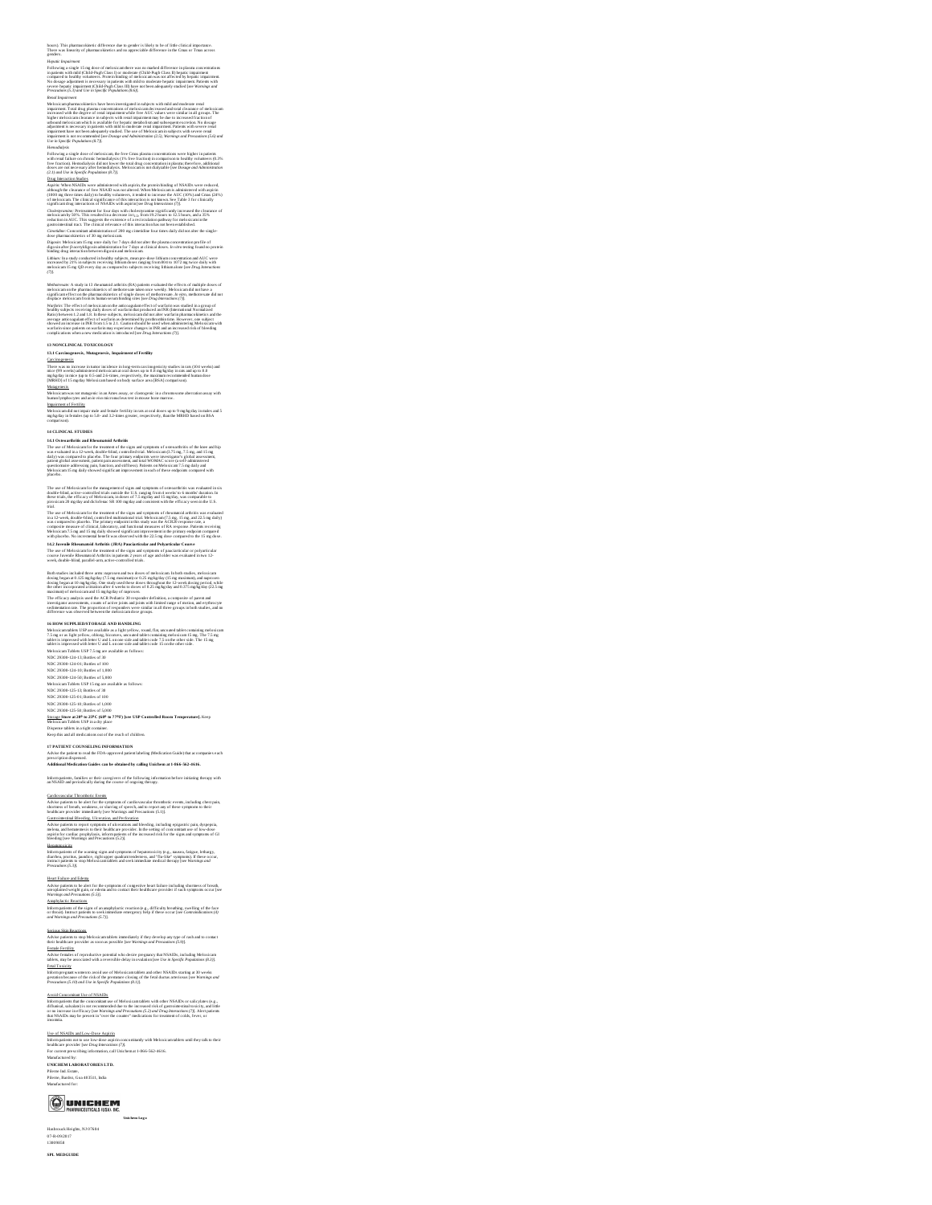Heywon Impulsors<br>Topolonia in a large 15 mg dose of molecularm there was no marked difference in placem concentrations<br>compared to handly columnost, Procedure and the state of molecular state and the state in marked to ma

Mention and particular the state been interesting the independent in the distribution are real experimental and the state of the state of the state of the state of the state of the state of the state of the state of the s

Following a single dose of melocicam, the free Cmac phasm concernations were higher in patients<br>with rend failure on chronic hemodialysis (1% free fraction) in comparison to healthy volumeers (0.3%<br>free fraction). Heromela

Aquive When NSATIN wave administered the application procedured and get OSATIN wave reduced.<br>
Application of the control of the control of the control of the control of the control of the control of the<br>
space of the cont 1/2, Iroi

Digazio: Melosticami Estagoace dalsy for 7 days dal not aler the plasma concentration profile of<br>digazina shre placety digazini administration for 7 days at clinical doses. In viro sexing found no provisin<br>Libham: In a stu

Methodoxuur, A. Aash ja Li Densamatid arfeidig (RA) Applicies, Conduction affects of indicate descriptions of<br> $\alpha$  and in the state of the state of the state of the state of the state of the state of the state of the stat

13 NOVELENCA. TO VACCOLOGY<br>Carliston Constantinopher and the paint of Ferning<br>There was no increase in tunner incidence in long-term carcinogenicity studies in rats (104 weeks) and<br>There was no increase in tunner incidence

## Mutag<u>enesis</u>.<br>Meloxicam was not mutagenic in an Ames assay, or clastogenic in a chromosome aberration assay with<br>human lymphocytes and an in vivo micronucleus test in mouse bone marrow.

Impairment of Ferräling<br>Melocvicam did not impair male and female ferrälity in rats at oral doses up to 9 mg/kg/day in males and 5<br>mg/kg/day in females (up to 5.8- and 3.2-simes greator, respectively, than the MRHID based

## **14 CLINICAL STUDIES**

**H-1 Ostes urbein's and Rheumandel Arthuéis**<br>The succeeding to consider the content of the signs and compute or consequenties of the lawe and hip<br>The succeeding in 2 D-week, double-Mind, consequently star Methods cannot b

The sets of Motion functions are consistent as signs and symmetric state of the first symmetric state of the symmetric state of the symmetric symmetric symmetric symmetric symmetric symmetric symmetric symmetric symmetric

Book mades interded force arms improvement of the dust of moleculent fields that the state is a stationary of the state of the state of the state of the state of the state of the state of the state of the state of the st

is 1000 N STPP LED STATE COALGO AND IN ANNAETIC COMMUNITY CONTINUES IN the STATE CONTINUES IN the STATE CONTINUES IN the STATE CONTINUES IN A 1999 OF STATE CONTINUES IN A 1999 OF STATE CONTINUES IN A 1999 OF STATE CONTINU

<u>Storage </u>Store at 20<sup>0</sup> to 25<sup>0</sup>C (68<sup>0</sup> to 77<sup>0</sup>F) [see USP Controlled Room Temperature]. Keep<br>Meloxican Tables: USP in a dry place

## Dispense tablets in a tight container.<br>Keep this and all medications out of the reach of children.

17 PATIENT COUNSELING INFORMATION<br>Advise the patients to real the FDA-approved patient labeling (Medication Guide) that accompanies each<br>prescription disponsed.<br>Additional Medication Guides can be obtained by calling Unich

Inform patients, families or their caregivers of the following information before initiating therapy with an NSAID and periodically during the course of ongoing therapy.

Caraforoscolar Theratolosi: Exercis especializativa control and anticolosis events, including chest paids, and<br>Advise patients to be absented to the symptoms of cardiovaccular through of these symptoms to their<br>Caracterist

H<u>essmonviciev</u><br>Inform parlents of the warning signs and symptoms of hepatotoxicity (e.g., nausea, fatigue, lethargy,<br>diarrhea, purrins, jaundice, right upper quadrant tenderness, and "fie-like" symptoms). If these occur,<br>

Heart Ealine and Edema<br>Advise patients to be alter for the symptoms of congestive beart failure including shortness of breath,<br>unexplained weight gain, or edema and to contact their healthcare provider if such symptoms occ

## Anaphylactic Reactions<br>Inform patients of the signs of an anaphylactic reaction (e.g., difficulty breathing, swelling of the face<br>or throad, Instanct patients to seek immediate emergency help if these occur [see Controindi

## <u>Serious Skin Reactions.</u><br>Advise patients to stop Meloxicam tablets immediately if they develop any type of rash and to contact<br>their healthcare provider as soon as possible [see Warnings and Precurdors (5.9)].

<u>Female Fertility</u><br>Advise females of reproductive potential who desire pregnancy that NSAIDs, including Meloxicam<br>tablets, may be associaned with a reversible delay in ovulation [see Use in Specific Populations (8.3)].

## Fetal Toxicity

Inform pregnant women to avoid use of Meloxicam tablets and other NSAIDs starting at 30 weeks<br>gestation:because of the risk of the premature closing of the fetal ductus arteriosus [see Warnings and<br>Precautions (5.10) and U

# Avail Concentium Like of NSAIDs<br>Availance and the concentium use of Meloxican tablets with other NSAIDs or salicylates (e.g.,<br>diffurinal, saisalate) is not recommended due to the increased risk of gastroimextinal toxicity,

Use of NSADIcan! Localized Augustin (1992)<br>The of NSADIC and the self-to-maximal state of the Melosican tables until they talk to their<br>battern perfects not to use to be done aspirate concentrative with Melosican<br>maximum i

**Unichem Log o**

## **OUNICHEM**

Hasbrouck Heights, NJ 07604 07-R-09/2017 13009858

**SPL MEDGUIDE**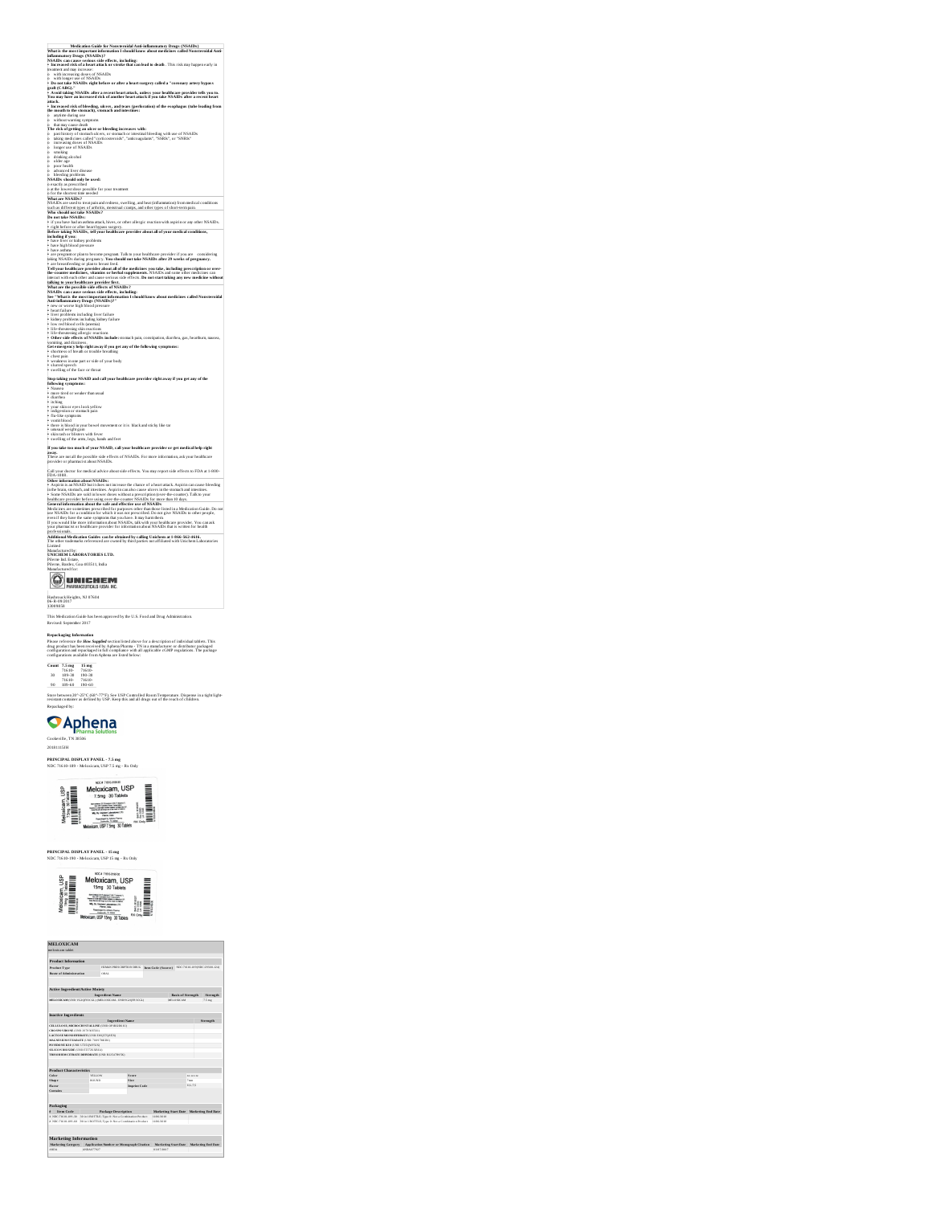|        | What is the most important informati<br>es called Nonsteroidal Ant<br>on I sh                                                                                                                                                               |
|--------|---------------------------------------------------------------------------------------------------------------------------------------------------------------------------------------------------------------------------------------------|
|        | inflammatory Drugs (NSAIDs)?<br>NSAIDs can cause serious side effects, including:<br>• Increased risk of a heart attack or stroke that can lead to death . This risk may happen early in                                                    |
|        | treatment and may increase:                                                                                                                                                                                                                 |
| ò.     | with increasing doses of NSAIDs                                                                                                                                                                                                             |
| ó      | of NSAIDs<br>with longer use                                                                                                                                                                                                                |
|        | o – wun songere noe en sessuus.<br>• Do not take NSAIDs - right before or after a heart surgery called a "coronary artery bypass<br>• Avoid taking NSAIDs after a recent heart attack, unless your healthcare provider tells you to.        |
|        |                                                                                                                                                                                                                                             |
|        | autack<br>• Increased risk of bloeding, ukers, and tears (perforation) of the esophagus (tube leading from<br>the mouth to the stomach), stomach and intestines:<br>the mouth to the stomach), stomach and intestines:                      |
|        |                                                                                                                                                                                                                                             |
|        |                                                                                                                                                                                                                                             |
| ó      | without warning symptoms                                                                                                                                                                                                                    |
|        | o that may cause death<br>The risk of getting an<br>g an ulcer or bleeding increases with:                                                                                                                                                  |
| ö<br>ö | past history of stomach ulcers, or stomach or intestinal bleeding with use of NSAIDs taking medicines called "corticosteroids", "anticoagulants", "SSRIs", or "SNRIs" increasing doses of NSAIDs                                            |
| ò      |                                                                                                                                                                                                                                             |
| ó<br>ò | longer use of NSAIDs<br>smoking                                                                                                                                                                                                             |
| ò      | drinking alcohol                                                                                                                                                                                                                            |
| ö      | older age<br>poor health                                                                                                                                                                                                                    |
| ó      | advanced liver disease                                                                                                                                                                                                                      |
|        | o bleeding problems<br>NSAIDs should only be used:                                                                                                                                                                                          |
|        | o exactly as prescribed<br>o at the lowest dose possible for your treatment                                                                                                                                                                 |
|        | o for the shortest time needed                                                                                                                                                                                                              |
|        | What are NSAIDs?                                                                                                                                                                                                                            |
|        | NSAIDs are used to treat pain and redness, swelling, and heat (inflammation) from medical conditions<br>such as different types of<br>arthritis, menstreal cramps, and other types of short-term pa                                         |
|        | Who should not take NSAIDs?                                                                                                                                                                                                                 |
|        | … = … + www. + westerns:<br>* if you have had an asthma attack, hives, or other allergic reaction with aspirin or any other NSAIDs.<br>* right before or after heart bypass surgery.                                                        |
|        | right before or after heart bypass surgery.                                                                                                                                                                                                 |
|        | Before taking NSAIDs, tell your healthcare provider about all of your medical conditions,<br>including if you:                                                                                                                              |
|        | · have li<br>or kidney problems<br>w                                                                                                                                                                                                        |
|        | - have high blood pressure<br>- have asthma                                                                                                                                                                                                 |
|        | - are pregnant or plan to become pregnant. Talk to your healthcare provider if you are considered in NAIDs during pregnantly. You should not take NSAIDs after 29 weeks of pregnant are beastfeeding or plan to breast feed.<br>considering |
|        | ĸ٧.                                                                                                                                                                                                                                         |
|        | " are somancedong or pantar are and a file medicines you take, including prescription or over-<br>the-counter medicines, vitamins or herbals supplements. NSALDs and some other medicins contra<br>the-counter medicines, vitamins o        |
|        |                                                                                                                                                                                                                                             |
|        | talking to your healthcare provider first.<br>What are the possible side effects of NSAIDs?                                                                                                                                                 |
|        | NSAIDs can cause serious side effects, including:                                                                                                                                                                                           |
|        | See "What is the most important information I should know about medicines called Nonsteroidal<br>Anti-inflammatory Drugs (NSAIDs)?"                                                                                                         |
|        |                                                                                                                                                                                                                                             |
|        | -<br>heart failure<br>- heart failure<br>- liver problems including liver failur                                                                                                                                                            |
|        | kidney problems including kidney failure                                                                                                                                                                                                    |
|        | · low red blood cells (anem<br>ia)                                                                                                                                                                                                          |
|        | son the measurements of the state of the state of the life of the state of the state of the state of the state of the state of the state of the state of the state of the state of the state of the state of the state of the               |
|        |                                                                                                                                                                                                                                             |
|        | vomiting, and dizziness                                                                                                                                                                                                                     |
|        | Get emergency help right away if you get any of the following symptoms:<br>• shortness of breath or wouble breathing<br>• chest pain                                                                                                        |
|        | weakness in one part or side of your body                                                                                                                                                                                                   |
|        |                                                                                                                                                                                                                                             |
|        | * Localaness in transporter and the second space of the face or throat swelling of the face or throat $\sim$ NSAID and c                                                                                                                    |
|        | .<br>Stop taking your NSAID and call your healthcare provider right away if you get any of th                                                                                                                                               |
|        | following symptoms:                                                                                                                                                                                                                         |
|        | • Nausea<br>• Nausea<br>• more fired or weaker than usual                                                                                                                                                                                   |
|        | • diarrhea<br>• itching                                                                                                                                                                                                                     |
|        | your skin or eyes look yellow                                                                                                                                                                                                               |
|        | indigestion or stomach pain<br>· flu-like symptoms                                                                                                                                                                                          |
|        |                                                                                                                                                                                                                                             |
|        | $\bullet$ vomit blood $\bullet$<br>through the bowel movement or it is black and sticky like tar there is blood in your bowel movement or it is                                                                                             |
|        |                                                                                                                                                                                                                                             |
|        | " was all weight gain<br>" skin rash or blisuers with fever<br>" swelling of the arms, legs, hands and feet                                                                                                                                 |
|        | If you take too much of your NSAID, call your healthcare provider or get medical help right                                                                                                                                                 |
|        | away.<br>These are not all the possible side effects of NSAIDs. For more information, ask your healthcare                                                                                                                                   |
|        | provider or pharmacist about NSAIDs.                                                                                                                                                                                                        |
|        | all your doctor for medical advice about side effects. You may report side effects to FDA at 1-800-                                                                                                                                         |
|        | <b>FDA</b><br>1088                                                                                                                                                                                                                          |
|        | Other information about NSAIDs:<br>Aspirin is an NSAID but it does not increase the chance of a heart attack. Aspirin can cause bleeding                                                                                                    |
|        |                                                                                                                                                                                                                                             |
|        | " Assprints an Froncois such interdence, Asspring can also cause ulcers in the stomach and innestines.<br>In the brain, stomach, and innestines. Aspirin can also cause ulcers in the stomach and innestines.<br>• Some NSAIDs are s        |
|        | General information about the safe and effective use of NSAIDs                                                                                                                                                                              |
|        | Medicines are sometimes prescribed for purposes other than those listed in a Medication Guide. Do no<br>use NSAIDs for a condition for which it was not prescribed. Do not give NSAIDs to other people,                                     |
|        |                                                                                                                                                                                                                                             |
|        | sor coordoot our sconsorors con moneto in west source that the community of the property of the same symptoms that you have. It may have the same of the same symptoms that you have the same of the same of the same of the s              |
|        | <b>arofe</b><br>ssionals                                                                                                                                                                                                                    |
|        | .<br>Additional Medication Guides can be obtained by calling Unichem at 1-866-562-4616.<br>The other trademarks referenced are owned by third parties not affiliated with Unichem Laboratories                                              |
|        | Limited                                                                                                                                                                                                                                     |
|        | Manufactured by:                                                                                                                                                                                                                            |
|        | UNICHEM LABORATORIES LTD.<br>Pilerne Ind. Estate,                                                                                                                                                                                           |
|        | .<br>Pilerne, Bardez, Goa 403511, India<br>Manufactured for:                                                                                                                                                                                |
|        |                                                                                                                                                                                                                                             |
|        | UNICHEM                                                                                                                                                                                                                                     |
|        |                                                                                                                                                                                                                                             |
|        |                                                                                                                                                                                                                                             |

**Medication Guide for Nonsteroidal Anti-inflammatory Drugs (NSAIDs)**

 $\overline{\phantom{0}}$ 

## Hasbrouck Heights, NJ 07604 06-R-09/2017 13009858 This Medication Guide has been approved by the U.S. Food and Drug Administration. Revised: September 2017

Republicación dels mesmos de la mateixa de la mateixa de la discription el individual unha en la mateixa de la<br>Pasa en deriva de la mateixa de la mateixa de la mateixa de la mateixa de la mateixa de la mateixa de la mateix

Cookeville, TN 38506<br>20181115JH<br>**PRINCIPAL DISPLAY PANEL - 7.5 mg<br>NDC 71610-189 - Meloxicam, USP 7.5 mg - Rx Only** 



**PRINCIPAL DISPLAY PANEL - 15 mg** NDC 71610-190 -Meloxicam, USP 15 mg -Rx Only



| <b>MELOXICAM</b><br>malcuicam tables                                                                                                                                                       |            |                                                                                               |              |                           |                      |                          |                 |                                                               |
|--------------------------------------------------------------------------------------------------------------------------------------------------------------------------------------------|------------|-----------------------------------------------------------------------------------------------|--------------|---------------------------|----------------------|--------------------------|-----------------|---------------------------------------------------------------|
| <b>Product Information</b>                                                                                                                                                                 |            |                                                                                               |              |                           |                      |                          |                 |                                                               |
| <b>Product Type</b>                                                                                                                                                                        |            | HUMAN PRESCRIPTION DRUG                                                                       |              | <b>Item Code (Source)</b> |                      |                          |                 | NDC/1630-1830NDC-29300-1243                                   |
| <b>Rests of Administration</b>                                                                                                                                                             |            | ORAL                                                                                          |              |                           |                      |                          |                 |                                                               |
| <b>Active Ingredient/Active Mojety</b>                                                                                                                                                     |            |                                                                                               |              |                           |                      |                          |                 |                                                               |
|                                                                                                                                                                                            |            | <b>Ineredient Name</b>                                                                        |              |                           |                      | <b>Basis of Strength</b> |                 | Streamth                                                      |
|                                                                                                                                                                                            |            | MELOXICAM (UNI) VG2OFE3CGL) (MELOXICAM - UNI) VG2OFE3CGL)                                     |              |                           |                      | MELOXICAM                |                 | $2.5 \text{ ms}$                                              |
| CROSPONDONE (UNIL 257830 ESS 0<br>LACTO SE MONORITRATE (UNIL EMOSTOREX)<br>MAGNESIUM STEARATE (UNI) 70 097MS DIO<br>POVIDONE K30 (UNIL U72503/Y/22X)<br>SILICON DIOXIDE (UNIL ET/726 XBUO) |            | CELLULO SE, MICROCRYSTALLINE (UNE OPIRIZIN 10)<br>TRISO DEM CITRATE DESTRATE (UNE R225478158) |              |                           |                      |                          |                 |                                                               |
|                                                                                                                                                                                            |            |                                                                                               |              |                           |                      |                          |                 |                                                               |
|                                                                                                                                                                                            |            |                                                                                               |              |                           |                      |                          |                 |                                                               |
|                                                                                                                                                                                            |            | VELLON                                                                                        | Scare        |                           |                      |                          | <b>BA ACAAN</b> |                                                               |
|                                                                                                                                                                                            |            | <b>BOILNEY</b>                                                                                | Sine         |                           |                      |                          | <b>Sold</b>     |                                                               |
|                                                                                                                                                                                            |            |                                                                                               | Imprint Code |                           |                      |                          | 01/75           |                                                               |
| <b>Product Characteristics</b><br>Color<br>Shape<br>Flaver<br>Contains<br>Packaging                                                                                                        |            |                                                                                               |              |                           |                      |                          |                 |                                                               |
| Item Code                                                                                                                                                                                  |            | <b>Package Description</b>                                                                    |              |                           |                      |                          |                 |                                                               |
|                                                                                                                                                                                            |            | 30 in 1 ROTTLE: Type 6: Not a Cambination Product                                             |              | 1506.0118                 |                      |                          |                 |                                                               |
|                                                                                                                                                                                            |            | 10 in 1807TLE: Type 0: No La Combination Product                                              |              | 1506.0118                 |                      |                          |                 |                                                               |
| 1 NDC 71610-181-00<br>2 NDC 71610-181-61                                                                                                                                                   |            |                                                                                               |              |                           |                      |                          |                 |                                                               |
| <b>Marketing Information</b>                                                                                                                                                               |            |                                                                                               |              |                           |                      |                          |                 |                                                               |
| Marketing Category                                                                                                                                                                         | ANDA077927 | Application Number or Monograph Citation                                                      |              | 03070007                  | Marketing Start Date |                          |                 | Marketing Start Date Marketing End Date<br>Marketine End Date |